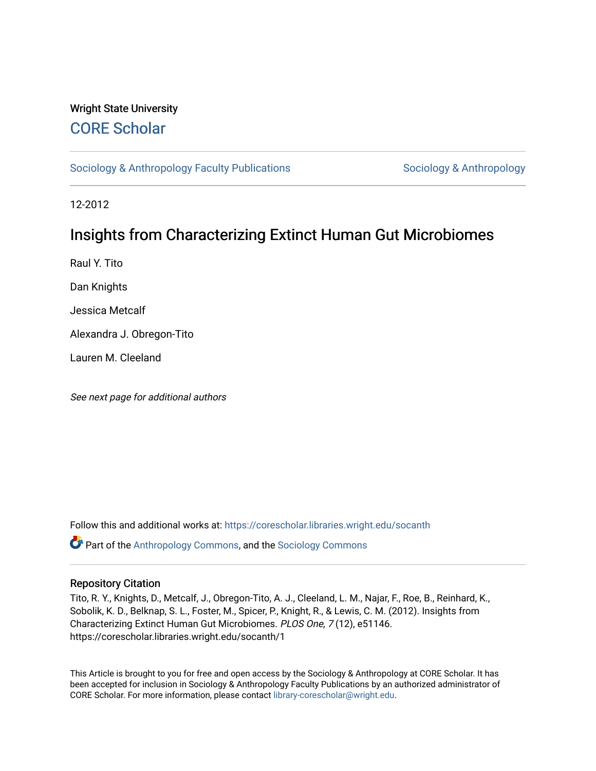## Wright State University [CORE Scholar](https://corescholar.libraries.wright.edu/)

[Sociology & Anthropology Faculty Publications](https://corescholar.libraries.wright.edu/socanth) [Sociology & Anthropology](https://corescholar.libraries.wright.edu/socanth_comm) & Anthropology

12-2012

# Insights from Characterizing Extinct Human Gut Microbiomes

Raul Y. Tito

Dan Knights

Jessica Metcalf

Alexandra J. Obregon-Tito

Lauren M. Cleeland

See next page for additional authors

Follow this and additional works at: [https://corescholar.libraries.wright.edu/socanth](https://corescholar.libraries.wright.edu/socanth?utm_source=corescholar.libraries.wright.edu%2Fsocanth%2F1&utm_medium=PDF&utm_campaign=PDFCoverPages) Part of the [Anthropology Commons](http://network.bepress.com/hgg/discipline/318?utm_source=corescholar.libraries.wright.edu%2Fsocanth%2F1&utm_medium=PDF&utm_campaign=PDFCoverPages), and the [Sociology Commons](http://network.bepress.com/hgg/discipline/416?utm_source=corescholar.libraries.wright.edu%2Fsocanth%2F1&utm_medium=PDF&utm_campaign=PDFCoverPages) 

### Repository Citation

Tito, R. Y., Knights, D., Metcalf, J., Obregon-Tito, A. J., Cleeland, L. M., Najar, F., Roe, B., Reinhard, K., Sobolik, K. D., Belknap, S. L., Foster, M., Spicer, P., Knight, R., & Lewis, C. M. (2012). Insights from Characterizing Extinct Human Gut Microbiomes. PLOS One, 7 (12), e51146. https://corescholar.libraries.wright.edu/socanth/1

This Article is brought to you for free and open access by the Sociology & Anthropology at CORE Scholar. It has been accepted for inclusion in Sociology & Anthropology Faculty Publications by an authorized administrator of CORE Scholar. For more information, please contact [library-corescholar@wright.edu](mailto:library-corescholar@wright.edu).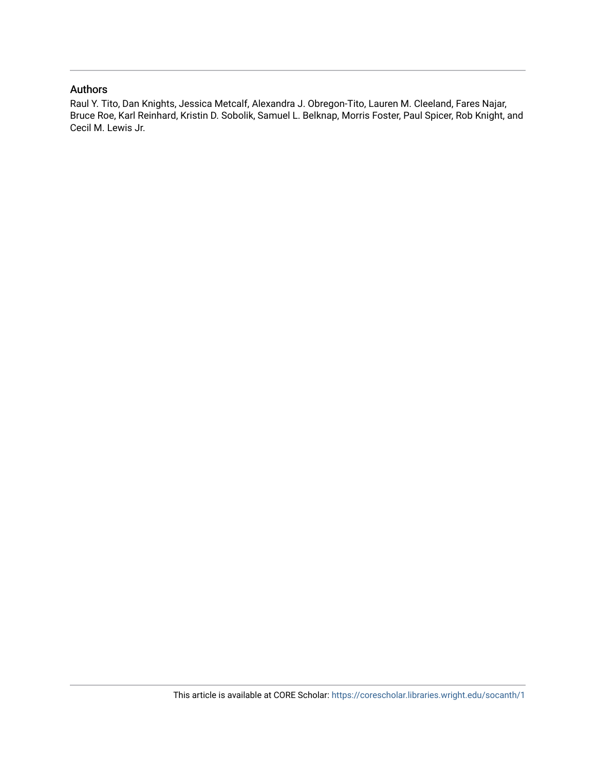## Authors

Raul Y. Tito, Dan Knights, Jessica Metcalf, Alexandra J. Obregon-Tito, Lauren M. Cleeland, Fares Najar, Bruce Roe, Karl Reinhard, Kristin D. Sobolik, Samuel L. Belknap, Morris Foster, Paul Spicer, Rob Knight, and Cecil M. Lewis Jr.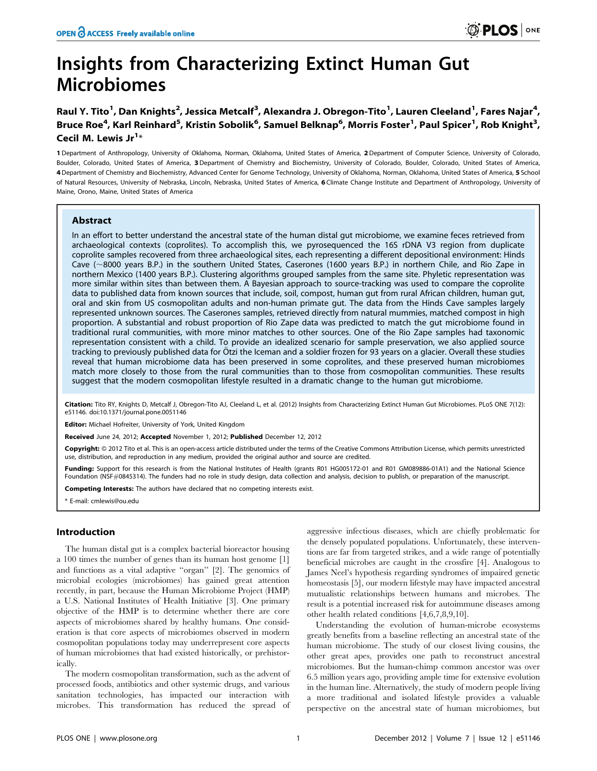# Insights from Characterizing Extinct Human Gut Microbiomes

Raul Y. Tito<sup>1</sup>, Dan Knights<sup>2</sup>, Jessica Metcalf<sup>3</sup>, Alexandra J. Obregon-Tito<sup>1</sup>, Lauren Cleeland<sup>1</sup>, Fares Najar<sup>4</sup>, Bruce Roe<sup>4</sup>, Karl Reinhard<sup>5</sup>, Kristin Sobolik<sup>6</sup>, Samuel Belknap<sup>6</sup>, Morris Foster<sup>1</sup>, Paul Spicer<sup>1</sup>, Rob Knight<sup>3</sup>, Cecil M. Lewis Jr $^{1*}$ 

1 Department of Anthropology, University of Oklahoma, Norman, Oklahoma, United States of America, 2 Department of Computer Science, University of Colorado, Boulder, Colorado, United States of America, 3 Department of Chemistry and Biochemistry, University of Colorado, Boulder, Colorado, United States of America, 4 Department of Chemistry and Biochemistry, Advanced Center for Genome Technology, University of Oklahoma, Norman, Oklahoma, United States of America, 5 School of Natural Resources, University of Nebraska, Lincoln, Nebraska, United States of America, 6 Climate Change Institute and Department of Anthropology, University of Maine, Orono, Maine, United States of America

#### Abstract

In an effort to better understand the ancestral state of the human distal gut microbiome, we examine feces retrieved from archaeological contexts (coprolites). To accomplish this, we pyrosequenced the 16S rDNA V3 region from duplicate coprolite samples recovered from three archaeological sites, each representing a different depositional environment: Hinds Cave (~8000 years B.P.) in the southern United States, Caserones (1600 years B.P.) in northern Chile, and Rio Zape in northern Mexico (1400 years B.P.). Clustering algorithms grouped samples from the same site. Phyletic representation was more similar within sites than between them. A Bayesian approach to source-tracking was used to compare the coprolite data to published data from known sources that include, soil, compost, human gut from rural African children, human gut, oral and skin from US cosmopolitan adults and non-human primate gut. The data from the Hinds Cave samples largely represented unknown sources. The Caserones samples, retrieved directly from natural mummies, matched compost in high proportion. A substantial and robust proportion of Rio Zape data was predicted to match the gut microbiome found in traditional rural communities, with more minor matches to other sources. One of the Rio Zape samples had taxonomic representation consistent with a child. To provide an idealized scenario for sample preservation, we also applied source tracking to previously published data for Ötzi the Iceman and a soldier frozen for 93 years on a glacier. Overall these studies reveal that human microbiome data has been preserved in some coprolites, and these preserved human microbiomes match more closely to those from the rural communities than to those from cosmopolitan communities. These results suggest that the modern cosmopolitan lifestyle resulted in a dramatic change to the human gut microbiome.

Citation: Tito RY, Knights D, Metcalf J, Obregon-Tito AJ, Cleeland L, et al. (2012) Insights from Characterizing Extinct Human Gut Microbiomes. PLoS ONE 7(12): e51146. doi:10.1371/journal.pone.0051146

Editor: Michael Hofreiter, University of York, United Kingdom

Received June 24, 2012; Accepted November 1, 2012; Published December 12, 2012

**Copyright:** © 2012 Tito et al. This is an open-access article distributed under the terms of the Creative Commons Attribution License, which permits unrestricted use, distribution, and reproduction in any medium, provided the original author and source are credited.

Funding: Support for this research is from the National Institutes of Health (grants R01 HG005172-01 and R01 GM089886-01A1) and the National Science Foundation (NSF#0845314). The funders had no role in study design, data collection and analysis, decision to publish, or preparation of the manuscript.

Competing Interests: The authors have declared that no competing interests exist.

\* E-mail: cmlewis@ou.edu

#### Introduction

The human distal gut is a complex bacterial bioreactor housing a 100 times the number of genes than its human host genome [1] and functions as a vital adaptive ''organ'' [2]. The genomics of microbial ecologies (microbiomes) has gained great attention recently, in part, because the Human Microbiome Project (HMP) a U.S. National Institutes of Health Initiative [3]. One primary objective of the HMP is to determine whether there are core aspects of microbiomes shared by healthy humans. One consideration is that core aspects of microbiomes observed in modern cosmopolitan populations today may underrepresent core aspects of human microbiomes that had existed historically, or prehistorically.

The modern cosmopolitan transformation, such as the advent of processed foods, antibiotics and other systemic drugs, and various sanitation technologies, has impacted our interaction with microbes. This transformation has reduced the spread of aggressive infectious diseases, which are chiefly problematic for the densely populated populations. Unfortunately, these interventions are far from targeted strikes, and a wide range of potentially beneficial microbes are caught in the crossfire [4]. Analogous to James Neel's hypothesis regarding syndromes of impaired genetic homeostasis [5], our modern lifestyle may have impacted ancestral mutualistic relationships between humans and microbes. The result is a potential increased risk for autoimmune diseases among other health related conditions [4,6,7,8,9,10].

Understanding the evolution of human-microbe ecosystems greatly benefits from a baseline reflecting an ancestral state of the human microbiome. The study of our closest living cousins, the other great apes, provides one path to reconstruct ancestral microbiomes. But the human-chimp common ancestor was over 6.5 million years ago, providing ample time for extensive evolution in the human line. Alternatively, the study of modern people living a more traditional and isolated lifestyle provides a valuable perspective on the ancestral state of human microbiomes, but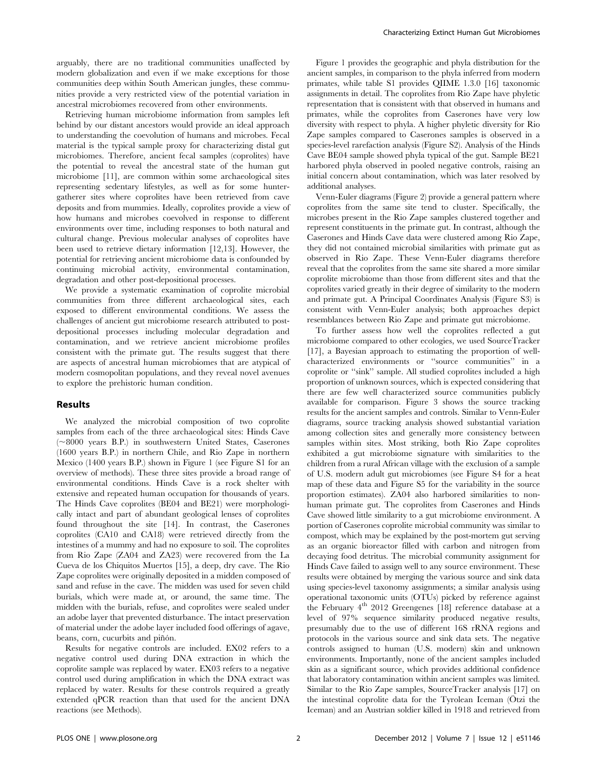arguably, there are no traditional communities unaffected by modern globalization and even if we make exceptions for those communities deep within South American jungles, these communities provide a very restricted view of the potential variation in ancestral microbiomes recovered from other environments.

Retrieving human microbiome information from samples left behind by our distant ancestors would provide an ideal approach to understanding the coevolution of humans and microbes. Fecal material is the typical sample proxy for characterizing distal gut microbiomes. Therefore, ancient fecal samples (coprolites) have the potential to reveal the ancestral state of the human gut microbiome [11], are common within some archaeological sites representing sedentary lifestyles, as well as for some huntergatherer sites where coprolites have been retrieved from cave deposits and from mummies. Ideally, coprolites provide a view of how humans and microbes coevolved in response to different environments over time, including responses to both natural and cultural change. Previous molecular analyses of coprolites have been used to retrieve dietary information [12,13]. However, the potential for retrieving ancient microbiome data is confounded by continuing microbial activity, environmental contamination, degradation and other post-depositional processes.

We provide a systematic examination of coprolite microbial communities from three different archaeological sites, each exposed to different environmental conditions. We assess the challenges of ancient gut microbiome research attributed to postdepositional processes including molecular degradation and contamination, and we retrieve ancient microbiome profiles consistent with the primate gut. The results suggest that there are aspects of ancestral human microbiomes that are atypical of modern cosmopolitan populations, and they reveal novel avenues to explore the prehistoric human condition.

#### Results

We analyzed the microbial composition of two coprolite samples from each of the three archaeological sites: Hinds Cave  $(\sim 8000$  years B.P.) in southwestern United States, Caserones (1600 years B.P.) in northern Chile, and Rio Zape in northern Mexico (1400 years B.P.) shown in Figure 1 (see Figure S1 for an overview of methods). These three sites provide a broad range of environmental conditions. Hinds Cave is a rock shelter with extensive and repeated human occupation for thousands of years. The Hinds Cave coprolites (BE04 and BE21) were morphologically intact and part of abundant geological lenses of coprolites found throughout the site [14]. In contrast, the Caserones coprolites (CA10 and CA18) were retrieved directly from the intestines of a mummy and had no exposure to soil. The coprolites from Rio Zape (ZA04 and ZA23) were recovered from the La Cueva de los Chiquitos Muertos [15], a deep, dry cave. The Rio Zape coprolites were originally deposited in a midden composed of sand and refuse in the cave. The midden was used for seven child burials, which were made at, or around, the same time. The midden with the burials, refuse, and coprolites were sealed under an adobe layer that prevented disturbance. The intact preservation of material under the adobe layer included food offerings of agave, beans, corn, cucurbits and piñón.

Results for negative controls are included. EX02 refers to a negative control used during DNA extraction in which the coprolite sample was replaced by water. EX03 refers to a negative control used during amplification in which the DNA extract was replaced by water. Results for these controls required a greatly extended qPCR reaction than that used for the ancient DNA reactions (see Methods).

Figure 1 provides the geographic and phyla distribution for the ancient samples, in comparison to the phyla inferred from modern primates, while table S1 provides QIIME 1.3.0 [16] taxonomic assignments in detail. The coprolites from Rio Zape have phyletic representation that is consistent with that observed in humans and primates, while the coprolites from Caserones have very low diversity with respect to phyla. A higher phyletic diversity for Rio Zape samples compared to Caserones samples is observed in a species-level rarefaction analysis (Figure S2). Analysis of the Hinds Cave BE04 sample showed phyla typical of the gut. Sample BE21 harbored phyla observed in pooled negative controls, raising an initial concern about contamination, which was later resolved by additional analyses.

Venn-Euler diagrams (Figure 2) provide a general pattern where coprolites from the same site tend to cluster. Specifically, the microbes present in the Rio Zape samples clustered together and represent constituents in the primate gut. In contrast, although the Caserones and Hinds Cave data were clustered among Rio Zape, they did not contained microbial similarities with primate gut as observed in Rio Zape. These Venn-Euler diagrams therefore reveal that the coprolites from the same site shared a more similar coprolite microbiome than those from different sites and that the coprolites varied greatly in their degree of similarity to the modern and primate gut. A Principal Coordinates Analysis (Figure S3) is consistent with Venn-Euler analysis; both approaches depict resemblances between Rio Zape and primate gut microbiome.

To further assess how well the coprolites reflected a gut microbiome compared to other ecologies, we used SourceTracker [17], a Bayesian approach to estimating the proportion of wellcharacterized environments or ''source communities'' in a coprolite or ''sink'' sample. All studied coprolites included a high proportion of unknown sources, which is expected considering that there are few well characterized source communities publicly available for comparison. Figure 3 shows the source tracking results for the ancient samples and controls. Similar to Venn-Euler diagrams, source tracking analysis showed substantial variation among collection sites and generally more consistency between samples within sites. Most striking, both Rio Zape coprolites exhibited a gut microbiome signature with similarities to the children from a rural African village with the exclusion of a sample of U.S. modern adult gut microbiomes (see Figure S4 for a heat map of these data and Figure S5 for the variability in the source proportion estimates). ZA04 also harbored similarities to nonhuman primate gut. The coprolites from Caserones and Hinds Cave showed little similarity to a gut microbiome environment. A portion of Caserones coprolite microbial community was similar to compost, which may be explained by the post-mortem gut serving as an organic bioreactor filled with carbon and nitrogen from decaying food detritus. The microbial community assignment for Hinds Cave failed to assign well to any source environment. These results were obtained by merging the various source and sink data using species-level taxonomy assignments; a similar analysis using operational taxonomic units (OTUs) picked by reference against the February  $4<sup>th</sup>$  2012 Greengenes [18] reference database at a level of 97% sequence similarity produced negative results, presumably due to the use of different 16S rRNA regions and protocols in the various source and sink data sets. The negative controls assigned to human (U.S. modern) skin and unknown environments. Importantly, none of the ancient samples included skin as a significant source, which provides additional confidence that laboratory contamination within ancient samples was limited. Similar to the Rio Zape samples, SourceTracker analysis [17] on the intestinal coprolite data for the Tyrolean Iceman (Ötzi the Iceman) and an Austrian soldier killed in 1918 and retrieved from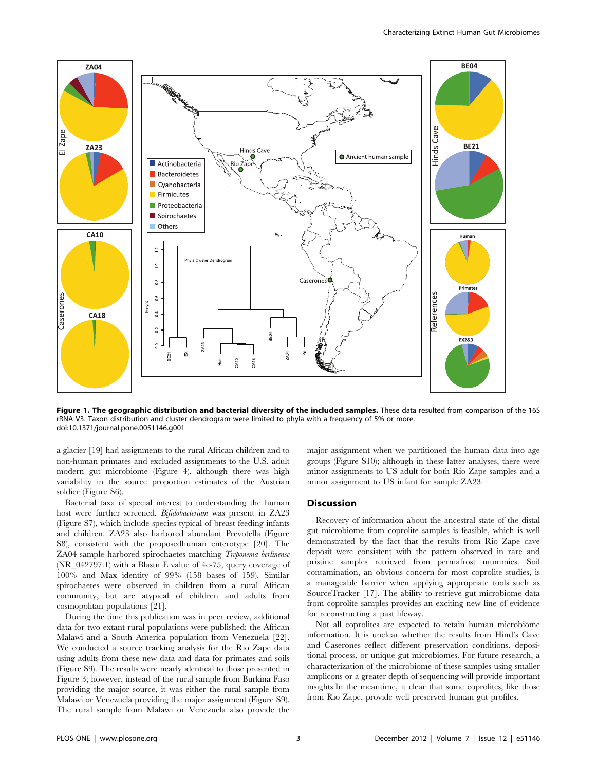

Figure 1. The geographic distribution and bacterial diversity of the included samples. These data resulted from comparison of the 16S rRNA V3. Taxon distribution and cluster dendrogram were limited to phyla with a frequency of 5% or more. doi:10.1371/journal.pone.0051146.g001

a glacier [19] had assignments to the rural African children and to non-human primates and excluded assignments to the U.S. adult modern gut microbiome (Figure 4), although there was high variability in the source proportion estimates of the Austrian soldier (Figure S6).

Bacterial taxa of special interest to understanding the human host were further screened. Bifidobacterium was present in ZA23 (Figure S7), which include species typical of breast feeding infants and children. ZA23 also harbored abundant Prevotella (Figure S8), consistent with the proposedhuman enterotype [20]. The ZA04 sample harbored spirochaetes matching Treponema berlinense (NR\_042797.1) with a Blastn E value of 4e-75, query coverage of 100% and Max identity of 99% (158 bases of 159). Similar spirochaetes were observed in children from a rural African community, but are atypical of children and adults from cosmopolitan populations [21].

During the time this publication was in peer review, additional data for two extant rural populations were published: the African Malawi and a South America population from Venezuela [22]. We conducted a source tracking analysis for the Rio Zape data using adults from these new data and data for primates and soils (Figure S9). The results were nearly identical to those presented in Figure 3; however, instead of the rural sample from Burkina Faso providing the major source, it was either the rural sample from Malawi or Venezuela providing the major assignment (Figure S9). The rural sample from Malawi or Venezuela also provide the major assignment when we partitioned the human data into age groups (Figure S10); although in these latter analyses, there were minor assignments to US adult for both Rio Zape samples and a minor assignment to US infant for sample ZA23.

#### **Discussion**

Recovery of information about the ancestral state of the distal gut microbiome from coprolite samples is feasible, which is well demonstrated by the fact that the results from Rio Zape cave deposit were consistent with the pattern observed in rare and pristine samples retrieved from permafrost mummies. Soil contamination, an obvious concern for most coprolite studies, is a manageable barrier when applying appropriate tools such as SourceTracker [17]. The ability to retrieve gut microbiome data from coprolite samples provides an exciting new line of evidence for reconstructing a past lifeway.

Not all coprolites are expected to retain human microbiome information. It is unclear whether the results from Hind's Cave and Caserones reflect different preservation conditions, depositional process, or unique gut microbiomes. For future research, a characterization of the microbiome of these samples using smaller amplicons or a greater depth of sequencing will provide important insights.In the meantime, it clear that some coprolites, like those from Rio Zape, provide well preserved human gut profiles.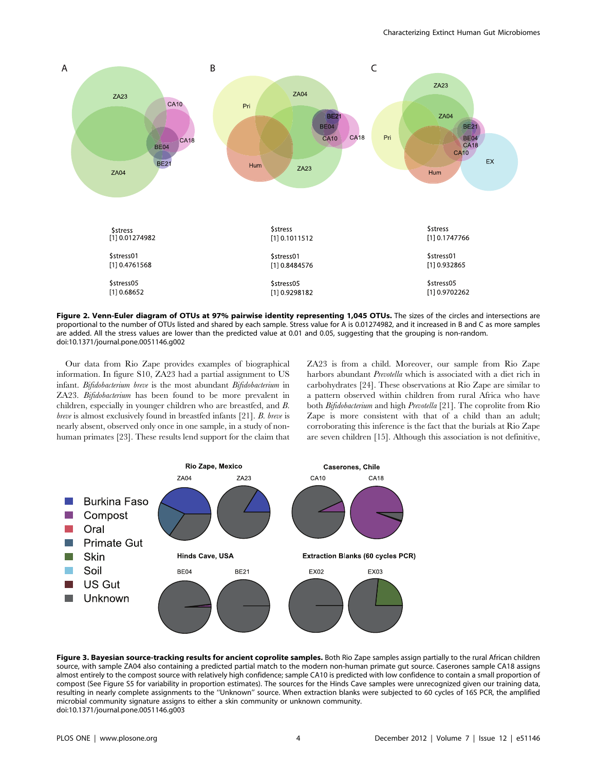

Figure 2. Venn-Euler diagram of OTUs at 97% pairwise identity representing 1,045 OTUs. The sizes of the circles and intersections are proportional to the number of OTUs listed and shared by each sample. Stress value for A is 0.01274982, and it increased in B and C as more samples are added. All the stress values are lower than the predicted value at 0.01 and 0.05, suggesting that the grouping is non-random. doi:10.1371/journal.pone.0051146.g002

Our data from Rio Zape provides examples of biographical information. In figure S10, ZA23 had a partial assignment to US infant. Bifidobacterium breve is the most abundant Bifidobacterium in ZA23. Bifidobacterium has been found to be more prevalent in children, especially in younger children who are breastfed, and B. breve is almost exclusively found in breastfed infants [21]. B. breve is nearly absent, observed only once in one sample, in a study of nonhuman primates [23]. These results lend support for the claim that ZA23 is from a child. Moreover, our sample from Rio Zape harbors abundant *Prevotella* which is associated with a diet rich in carbohydrates [24]. These observations at Rio Zape are similar to a pattern observed within children from rural Africa who have both Bifidobacterium and high Prevotella [21]. The coprolite from Rio Zape is more consistent with that of a child than an adult; corroborating this inference is the fact that the burials at Rio Zape are seven children [15]. Although this association is not definitive,



Figure 3. Bayesian source-tracking results for ancient coprolite samples. Both Rio Zape samples assign partially to the rural African children source, with sample ZA04 also containing a predicted partial match to the modern non-human primate gut source. Caserones sample CA18 assigns almost entirely to the compost source with relatively high confidence; sample CA10 is predicted with low confidence to contain a small proportion of compost (See Figure S5 for variability in proportion estimates). The sources for the Hinds Cave samples were unrecognized given our training data, resulting in nearly complete assignments to the ''Unknown'' source. When extraction blanks were subjected to 60 cycles of 16S PCR, the amplified microbial community signature assigns to either a skin community or unknown community. doi:10.1371/journal.pone.0051146.g003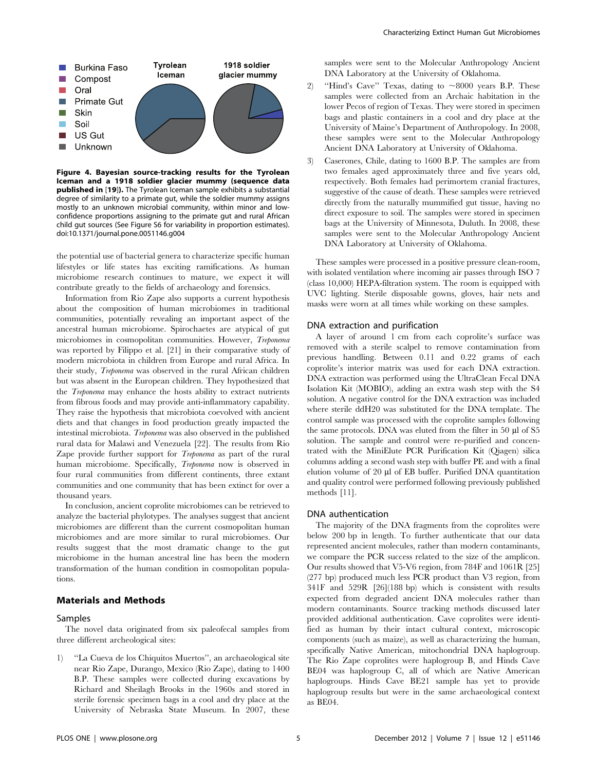

Figure 4. Bayesian source-tracking results for the Tyrolean Iceman and a 1918 soldier glacier mummy (sequence data published in [19]). The Tyrolean Iceman sample exhibits a substantial degree of similarity to a primate gut, while the soldier mummy assigns mostly to an unknown microbial community, within minor and lowconfidence proportions assigning to the primate gut and rural African child gut sources (See Figure S6 for variability in proportion estimates). doi:10.1371/journal.pone.0051146.g004

the potential use of bacterial genera to characterize specific human lifestyles or life states has exciting ramifications. As human microbiome research continues to mature, we expect it will contribute greatly to the fields of archaeology and forensics.

Information from Rio Zape also supports a current hypothesis about the composition of human microbiomes in traditional communities, potentially revealing an important aspect of the ancestral human microbiome. Spirochaetes are atypical of gut microbiomes in cosmopolitan communities. However, Treponema was reported by Filippo et al. [21] in their comparative study of modern microbiota in children from Europe and rural Africa. In their study, Treponema was observed in the rural African children but was absent in the European children. They hypothesized that the Treponema may enhance the hosts ability to extract nutrients from fibrous foods and may provide anti-inflammatory capability. They raise the hypothesis that microbiota coevolved with ancient diets and that changes in food production greatly impacted the intestinal microbiota. Treponema was also observed in the published rural data for Malawi and Venezuela [22]. The results from Rio Zape provide further support for *Treponema* as part of the rural human microbiome. Specifically, *Treponema* now is observed in four rural communities from different continents, three extant communities and one community that has been extinct for over a thousand years.

In conclusion, ancient coprolite microbiomes can be retrieved to analyze the bacterial phylotypes. The analyses suggest that ancient microbiomes are different than the current cosmopolitan human microbiomes and are more similar to rural microbiomes. Our results suggest that the most dramatic change to the gut microbiome in the human ancestral line has been the modern transformation of the human condition in cosmopolitan populations.

#### Materials and Methods

#### Samples

The novel data originated from six paleofecal samples from three different archeological sites:

1) ''La Cueva de los Chiquitos Muertos'', an archaeological site near Rio Zape, Durango, Mexico (Rio Zape), dating to 1400 B.P. These samples were collected during excavations by Richard and Sheilagh Brooks in the 1960s and stored in sterile forensic specimen bags in a cool and dry place at the University of Nebraska State Museum. In 2007, these

samples were sent to the Molecular Anthropology Ancient DNA Laboratory at the University of Oklahoma.

- 2) "Hind's Cave" Texas, dating to  $\sim 8000$  years B.P. These samples were collected from an Archaic habitation in the lower Pecos of region of Texas. They were stored in specimen bags and plastic containers in a cool and dry place at the University of Maine's Department of Anthropology. In 2008, these samples were sent to the Molecular Anthropology Ancient DNA Laboratory at University of Oklahoma.
- 3) Caserones, Chile, dating to 1600 B.P. The samples are from two females aged approximately three and five years old, respectively. Both females had perimortem cranial fractures, suggestive of the cause of death. These samples were retrieved directly from the naturally mummified gut tissue, having no direct exposure to soil. The samples were stored in specimen bags at the University of Minnesota, Duluth. In 2008, these samples were sent to the Molecular Anthropology Ancient DNA Laboratory at University of Oklahoma.

These samples were processed in a positive pressure clean-room, with isolated ventilation where incoming air passes through ISO 7 (class 10,000) HEPA-filtration system. The room is equipped with UVC lighting. Sterile disposable gowns, gloves, hair nets and masks were worn at all times while working on these samples.

#### DNA extraction and purification

A layer of around 1 cm from each coprolite's surface was removed with a sterile scalpel to remove contamination from previous handling. Between 0.11 and 0.22 grams of each coprolite's interior matrix was used for each DNA extraction. DNA extraction was performed using the UltraClean Fecal DNA Isolation Kit (MOBIO), adding an extra wash step with the S4 solution. A negative control for the DNA extraction was included where sterile ddH20 was substituted for the DNA template. The control sample was processed with the coprolite samples following the same protocols. DNA was eluted from the filter in 50 µl of S5 solution. The sample and control were re-purified and concentrated with the MiniElute PCR Purification Kit (Qiagen) silica columns adding a second wash step with buffer PE and with a final elution volume of 20 µl of EB buffer. Purified DNA quantitation and quality control were performed following previously published methods [11].

#### DNA authentication

The majority of the DNA fragments from the coprolites were below 200 bp in length. To further authenticate that our data represented ancient molecules, rather than modern contaminants, we compare the PCR success related to the size of the amplicon. Our results showed that V5-V6 region, from 784F and 1061R [25] (277 bp) produced much less PCR product than V3 region, from 341F and 529R [26](188 bp) which is consistent with results expected from degraded ancient DNA molecules rather than modern contaminants. Source tracking methods discussed later provided additional authentication. Cave coprolites were identified as human by their intact cultural context, microscopic components (such as maize), as well as characterizing the human, specifically Native American, mitochondrial DNA haplogroup. The Rio Zape coprolites were haplogroup B, and Hinds Cave BE04 was haplogroup C, all of which are Native American haplogroups. Hinds Cave BE21 sample has yet to provide haplogroup results but were in the same archaeological context as BE04.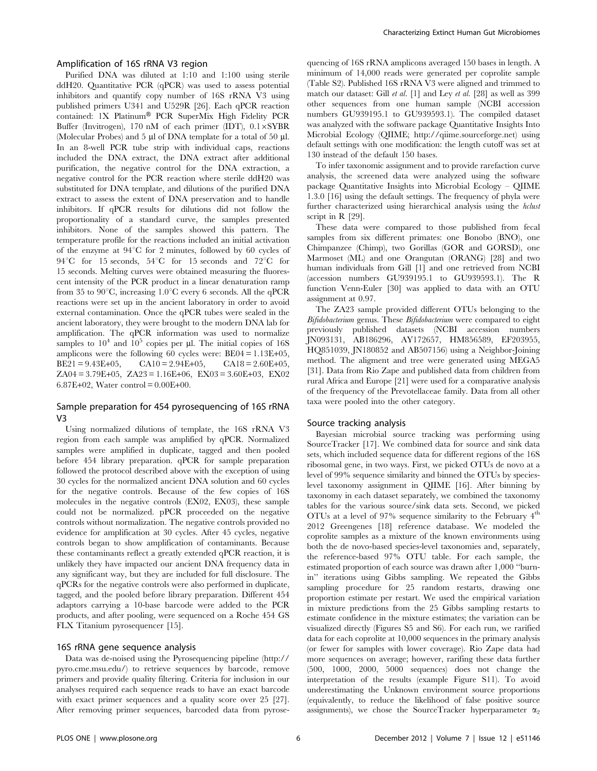#### Amplification of 16S rRNA V3 region

Purified DNA was diluted at 1:10 and 1:100 using sterile ddH20. Quantitative PCR (qPCR) was used to assess potential inhibitors and quantify copy number of 16S rRNA V3 using published primers U341 and U529R [26]. Each qPCR reaction contained: 1X Platinum® PCR SuperMix High Fidelity PCR Buffer (Invitrogen), 170 nM of each primer (IDT),  $0.1 \times SYBR$ (Molecular Probes) and 5  $\mu$ l of DNA template for a total of 50  $\mu$ l. In an 8-well PCR tube strip with individual caps, reactions included the DNA extract, the DNA extract after additional purification, the negative control for the DNA extraction, a negative control for the PCR reaction where sterile ddH20 was substituted for DNA template, and dilutions of the purified DNA extract to assess the extent of DNA preservation and to handle inhibitors. If qPCR results for dilutions did not follow the proportionality of a standard curve, the samples presented inhibitors. None of the samples showed this pattern. The temperature profile for the reactions included an initial activation of the enzyme at  $94^{\circ}$ C for 2 minutes, followed by 60 cycles of 94 $^{\circ}$ C for 15 seconds, 54 $^{\circ}$ C for 15 seconds and 72 $^{\circ}$ C for 15 seconds. Melting curves were obtained measuring the fluorescent intensity of the PCR product in a linear denaturation ramp from 35 to 90 $\degree$ C, increasing 1.0 $\degree$ C every 6 seconds. All the qPCR reactions were set up in the ancient laboratory in order to avoid external contamination. Once the qPCR tubes were sealed in the ancient laboratory, they were brought to the modern DNA lab for amplification. The qPCR information was used to normalize samples to  $10^4$  and  $10^5$  copies per µl. The initial copies of 16S amplicons were the following 60 cycles were:  $BE04 = 1.13E + 05$ , BE21 = 9.43E+05, CA10 = 2.94E+05, CA18 = 2.60E+05,  $ZA04 = 3.79E+05$ ,  $ZA23 = 1.16E+06$ ,  $EX03 = 3.60E+03$ ,  $EX02$ 6.87E+02, Water control =  $0.00E+00$ .

#### Sample preparation for 454 pyrosequencing of 16S rRNA V3

Using normalized dilutions of template, the 16S rRNA V3 region from each sample was amplified by qPCR. Normalized samples were amplified in duplicate, tagged and then pooled before 454 library preparation. qPCR for sample preparation followed the protocol described above with the exception of using 30 cycles for the normalized ancient DNA solution and 60 cycles for the negative controls. Because of the few copies of 16S molecules in the negative controls (EX02, EX03), these sample could not be normalized. pPCR proceeded on the negative controls without normalization. The negative controls provided no evidence for amplification at 30 cycles. After 45 cycles, negative controls began to show amplification of contaminants. Because these contaminants reflect a greatly extended qPCR reaction, it is unlikely they have impacted our ancient DNA frequency data in any significant way, but they are included for full disclosure. The qPCRs for the negative controls were also performed in duplicate, tagged, and the pooled before library preparation. Different 454 adaptors carrying a 10-base barcode were added to the PCR products, and after pooling, were sequenced on a Roche 454 GS FLX Titanium pyrosequencer [15].

#### 16S rRNA gene sequence analysis

Data was de-noised using the Pyrosequencing pipeline (http:// pyro.cme.msu.edu/) to retrieve sequences by barcode, remove primers and provide quality filtering. Criteria for inclusion in our analyses required each sequence reads to have an exact barcode with exact primer sequences and a quality score over 25 [27]. After removing primer sequences, barcoded data from pyrosequencing of 16S rRNA amplicons averaged 150 bases in length. A minimum of 14,000 reads were generated per coprolite sample (Table S2). Published 16S rRNA V3 were aligned and trimmed to match our dataset: Gill et al. [1] and Ley et al. [28] as well as 399 other sequences from one human sample (NCBI accession numbers GU939195.1 to GU939593.1). The compiled dataset was analyzed with the software package Quantitative Insights Into Microbial Ecology (QIIME; http://qiime.sourceforge.net) using default settings with one modification: the length cutoff was set at 130 instead of the default 150 bases.

To infer taxonomic assignment and to provide rarefaction curve analysis, the screened data were analyzed using the software package Quantitative Insights into Microbial Ecology – QIIME 1.3.0 [16] using the default settings. The frequency of phyla were further characterized using hierarchical analysis using the hclust script in R [29].

These data were compared to those published from fecal samples from six different primates: one Bonobo (BNO), one Chimpanzee (Chimp), two Gorillas (GOR and GORSD), one Marmoset (ML) and one Orangutan (ORANG) [28] and two human individuals from Gill [1] and one retrieved from NCBI (accession numbers GU939195.1 to GU939593.1). The R function Venn-Euler [30] was applied to data with an OTU assignment at 0.97.

The ZA23 sample provided different OTUs belonging to the Bifidobacterium genus. These Bifidobacterium were compared to eight previously published datasets (NCBI accession numbers JN093131, AB186296, AY172657, HM856589, EF203955, HQ851039, JN180852 and AB507156) using a Neighbor-Joining method. The aligment and tree were generated using MEGA5 [31]. Data from Rio Zape and published data from children from rural Africa and Europe [21] were used for a comparative analysis of the frequency of the Prevotellaceae family. Data from all other taxa were pooled into the other category.

#### Source tracking analysis

Bayesian microbial source tracking was performing using SourceTracker [17]. We combined data for source and sink data sets, which included sequence data for different regions of the 16S ribosomal gene, in two ways. First, we picked OTUs de novo at a level of 99% sequence similarity and binned the OTUs by specieslevel taxonomy assignment in QIIME [16]. After binning by taxonomy in each dataset separately, we combined the taxonomy tables for the various source/sink data sets. Second, we picked OTUs at a level of 97% sequence similarity to the February  $4<sup>th</sup>$ 2012 Greengenes [18] reference database. We modeled the coprolite samples as a mixture of the known environments using both the de novo-based species-level taxonomies and, separately, the reference-based 97% OTU table. For each sample, the estimated proportion of each source was drawn after 1,000 ''burnin'' iterations using Gibbs sampling. We repeated the Gibbs sampling procedure for 25 random restarts, drawing one proportion estimate per restart. We used the empirical variation in mixture predictions from the 25 Gibbs sampling restarts to estimate confidence in the mixture estimates; the variation can be visualized directly (Figures S5 and S6). For each run, we rarified data for each coprolite at 10,000 sequences in the primary analysis (or fewer for samples with lower coverage). Rio Zape data had more sequences on average; however, rarifing these data further (500, 1000, 2000, 5000 sequences) does not change the interpretation of the results (example Figure S11). To avoid underestimating the Unknown environment source proportions (equivalently, to reduce the likelihood of false positive source assignments), we chose the SourceTracker hyperparameter  $\alpha_2$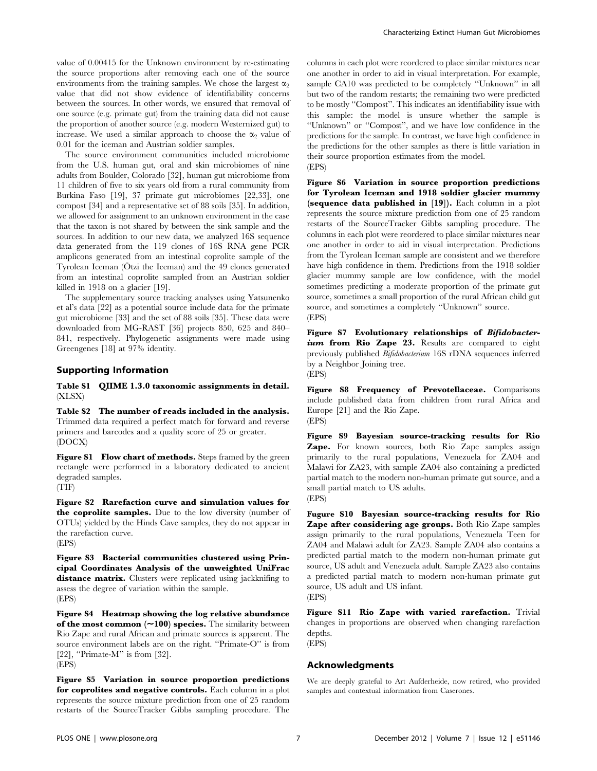value of 0.00415 for the Unknown environment by re-estimating the source proportions after removing each one of the source environments from the training samples. We chose the largest  $\alpha_2$ value that did not show evidence of identifiability concerns between the sources. In other words, we ensured that removal of one source (e.g. primate gut) from the training data did not cause the proportion of another source (e.g. modern Westernized gut) to increase. We used a similar approach to choose the  $\alpha_2$  value of 0.01 for the iceman and Austrian soldier samples.

The source environment communities included microbiome from the U.S. human gut, oral and skin microbiomes of nine adults from Boulder, Colorado [32], human gut microbiome from 11 children of five to six years old from a rural community from Burkina Faso [19], 37 primate gut microbiomes [22,33], one compost [34] and a representative set of 88 soils [35]. In addition, we allowed for assignment to an unknown environment in the case that the taxon is not shared by between the sink sample and the sources. In addition to our new data, we analyzed 16S sequence data generated from the 119 clones of 16S RNA gene PCR amplicons generated from an intestinal coprolite sample of the Tyrolean Iceman (Ötzi the Iceman) and the 49 clones generated from an intestinal coprolite sampled from an Austrian soldier killed in 1918 on a glacier [19].

The supplementary source tracking analyses using Yatsunenko et al's data [22] as a potential source include data for the primate gut microbiome [33] and the set of 88 soils [35]. These data were downloaded from MG-RAST [36] projects 850, 625 and 840– 841, respectively. Phylogenetic assignments were made using Greengenes [18] at 97% identity.

#### Supporting Information

Table S1 QIIME 1.3.0 taxonomic assignments in detail. (XLSX)

Table S2 The number of reads included in the analysis. Trimmed data required a perfect match for forward and reverse primers and barcodes and a quality score of 25 or greater. (DOCX)

Figure S1 Flow chart of methods. Steps framed by the green rectangle were performed in a laboratory dedicated to ancient degraded samples.

(TIF)

Figure S2 Rarefaction curve and simulation values for the coprolite samples. Due to the low diversity (number of OTUs) yielded by the Hinds Cave samples, they do not appear in the rarefaction curve. (EPS)

Figure S3 Bacterial communities clustered using Principal Coordinates Analysis of the unweighted UniFrac distance matrix. Clusters were replicated using jackknifing to assess the degree of variation within the sample. (EPS)

Figure S4 Heatmap showing the log relative abundance of the most common  $(\sim100)$  species. The similarity between Rio Zape and rural African and primate sources is apparent. The source environment labels are on the right. ''Primate-O'' is from [22], "Primate-M" is from  $[32]$ . (EPS)

Figure S5 Variation in source proportion predictions for coprolites and negative controls. Each column in a plot represents the source mixture prediction from one of 25 random restarts of the SourceTracker Gibbs sampling procedure. The

columns in each plot were reordered to place similar mixtures near one another in order to aid in visual interpretation. For example, sample CA10 was predicted to be completely ''Unknown'' in all but two of the random restarts; the remaining two were predicted to be mostly ''Compost''. This indicates an identifiability issue with this sample: the model is unsure whether the sample is ''Unknown'' or ''Compost'', and we have low confidence in the predictions for the sample. In contrast, we have high confidence in the predictions for the other samples as there is little variation in their source proportion estimates from the model. (EPS)

Figure S6 Variation in source proportion predictions for Tyrolean Iceman and 1918 soldier glacier mummy (sequence data published in [19]). Each column in a plot represents the source mixture prediction from one of 25 random restarts of the SourceTracker Gibbs sampling procedure. The columns in each plot were reordered to place similar mixtures near one another in order to aid in visual interpretation. Predictions from the Tyrolean Iceman sample are consistent and we therefore have high confidence in them. Predictions from the 1918 soldier glacier mummy sample are low confidence, with the model sometimes predicting a moderate proportion of the primate gut source, sometimes a small proportion of the rural African child gut source, and sometimes a completely ''Unknown'' source. (EPS)

Figure S7 Evolutionary relationships of Bifidobacterium from Rio Zape 23. Results are compared to eight previously published Bifidobacterium 16S rDNA sequences inferred by a Neighbor Joining tree. (EPS)

Figure S8 Frequency of Prevotellaceae. Comparisons include published data from children from rural Africa and Europe [21] and the Rio Zape. (EPS)

Figure S9 Bayesian source-tracking results for Rio Zape. For known sources, both Rio Zape samples assign primarily to the rural populations, Venezuela for ZA04 and Malawi for ZA23, with sample ZA04 also containing a predicted partial match to the modern non-human primate gut source, and a small partial match to US adults. (EPS)

Fugure S10 Bayesian source-tracking results for Rio Zape after considering age groups. Both Rio Zape samples assign primarily to the rural populations, Venezuela Teen for ZA04 and Malawi adult for ZA23. Sample ZA04 also contains a predicted partial match to the modern non-human primate gut source, US adult and Venezuela adult. Sample ZA23 also contains a predicted partial match to modern non-human primate gut source, US adult and US infant.

(EPS)

Figure S11 Rio Zape with varied rarefaction. Trivial changes in proportions are observed when changing rarefaction depths. (EPS)

## Acknowledgments

We are deeply grateful to Art Aufderheide, now retired, who provided samples and contextual information from Caserones.